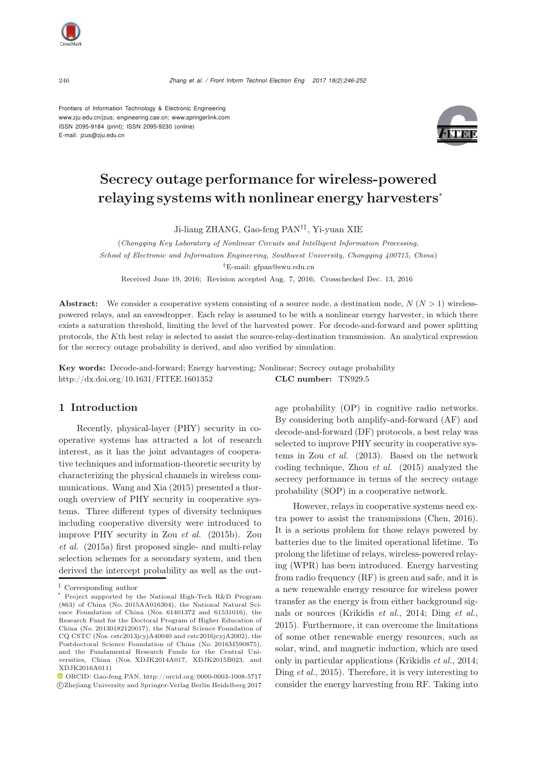

<sup>246</sup> *Zhang et al. / Front Inform Technol Electron Eng 2017 18(2):246-252*

Frontiers of Information Technology & Electronic Engineering www.zju.edu.cn/jzus; engineering.cae.cn; www.springerlink.com ISSN 2095-9184 (print); ISSN 2095-9230 (online) E-mail: jzus@zju.edu.cn



# Secrecy outage performance for wireless-powered relaying systems with nonlinear energy harvesters<sup>∗</sup>

Ji-liang ZHANG, Gao-feng PAN†‡, Yi-yuan XIE

(*Chongqing Key Laboratory of Nonlinear Circuits and Intelligent Information Processing, School of Electronic and Information Engineering, Southwest University, Chongqing 400715, China*) *†*E-mail: gfpan@swu.edu.cn

Received June 19, 2016; Revision accepted Aug. 7, 2016; Crosschecked Dec. 13, 2016

Abstract: We consider a cooperative system consisting of a source node, a destination node, *N* (*N >* 1) wirelesspowered relays, and an eavesdropper. Each relay is assumed to be with a nonlinear energy harvester, in which there exists a saturation threshold, limiting the level of the harvested power. For decode-and-forward and power splitting protocols, the *K*th best relay is selected to assist the source-relay-destination transmission. An analytical expression for the secrecy outage probability is derived, and also verified by simulation.

Key words: Decode-and-forward; Energy harvesting; Nonlinear; Secrecy outage probability http://dx.doi.org/10.1631/FITEE.1601352 CLC number: TN929.5

# 1 Introduction

Recently, physical-layer (PHY) security in cooperative systems has attracted a lot of research interest, as it has the joint advantages of cooperative techniques and information-theoretic security by characterizing the physical channels in wireless communications. Wang and Xia (2015) presented a thorough overview of PHY security in cooperative systems. Three different types of diversity techniques including cooperative diversity were introduced to improve PHY security in Zou *et al.* (2015b). Zou *et al.* (2015a) first proposed single- and multi-relay selection schemes for a secondary system, and then derived the intercept probability as well as the outage probability (OP) in cognitive radio networks. By considering both amplify-and-forward (AF) and decode-and-forward (DF) protocols, a best relay was selected to improve PHY security in cooperative systems in Zou *et al.* (2013). Based on the network coding technique, Zhou *et al.* (2015) analyzed the secrecy performance in terms of the secrecy outage probability (SOP) in a cooperative network.

However, relays in cooperative systems need extra power to assist the transmissions (Chen, 2016). It is a serious problem for those relays powered by batteries due to the limited operational lifetime. To prolong the lifetime of relays, wireless-powered relaying (WPR) has been introduced. Energy harvesting from radio frequency (RF) is green and safe, and it is a new renewable energy resource for wireless power transfer as the energy is from either background signals or sources (Krikidis *et al.*, 2014; Ding *et al.*, 2015). Furthermore, it can overcome the limitations of some other renewable energy resources, such as solar, wind, and magnetic induction, which are used only in particular applications (Krikidis *et al.*, 2014; Ding *et al.*, 2015). Therefore, it is very interesting to consider the energy harvesting from RF. Taking into

*<sup>‡</sup>* Corresponding author

Project supported by the National High-Tech R&D Program (863) of China (No. 2015AA016304), the National Natural Science Foundation of China (Nos. 61401372 and 61531016), the Research Fund for the Doctoral Program of Higher Education of China (No. 20130182120017), the Natural Science Foundation of CQ CSTC (Nos. cstc2013jcyjA40040 and cstc2016jcyjA2002), the Postdoctoral Science Foundation of China (No. 2016M590875), and the Fundamental Research Funds for the Central Universities, China (Nos. XDJK2014A017, XDJK2015B023, and XDJK2016A011)

ORCID: Gao-feng PAN, http://orcid.org/0000-0003-1008-5717 c Zhejiang University and Springer-Verlag Berlin Heidelberg 2017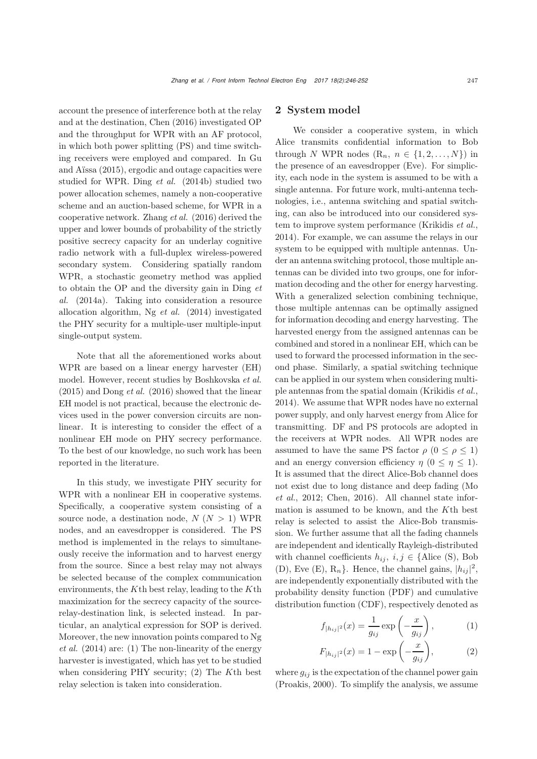account the presence of interference both at the relay and at the destination, Chen (2016) investigated OP and the throughput for WPR with an AF protocol, in which both power splitting (PS) and time switching receivers were employed and compared. In Gu and Aïssa (2015), ergodic and outage capacities were studied for WPR. Ding *et al.* (2014b) studied two power allocation schemes, namely a non-cooperative scheme and an auction-based scheme, for WPR in a cooperative network. Zhang *et al.* (2016) derived the upper and lower bounds of probability of the strictly positive secrecy capacity for an underlay cognitive radio network with a full-duplex wireless-powered secondary system. Considering spatially random WPR, a stochastic geometry method was applied to obtain the OP and the diversity gain in Ding *et al.* (2014a). Taking into consideration a resource allocation algorithm, Ng *et al.* (2014) investigated the PHY security for a multiple-user multiple-input single-output system.

Note that all the aforementioned works about WPR are based on a linear energy harvester (EH) model. However, recent studies by Boshkovska *et al.* (2015) and Dong *et al.* (2016) showed that the linear EH model is not practical, because the electronic devices used in the power conversion circuits are nonlinear. It is interesting to consider the effect of a nonlinear EH mode on PHY secrecy performance. To the best of our knowledge, no such work has been reported in the literature.

In this study, we investigate PHY security for WPR with a nonlinear EH in cooperative systems. Specifically, a cooperative system consisting of a source node, a destination node,  $N (N > 1)$  WPR nodes, and an eavesdropper is considered. The PS method is implemented in the relays to simultaneously receive the information and to harvest energy from the source. Since a best relay may not always be selected because of the complex communication environments, the  $K$ <sup>th</sup> best relay, leading to the  $K$ <sup>th</sup> maximization for the secrecy capacity of the sourcerelay-destination link, is selected instead. In particular, an analytical expression for SOP is derived. Moreover, the new innovation points compared to Ng *et al.* (2014) are: (1) The non-linearity of the energy harvester is investigated, which has yet to be studied when considering PHY security; (2) The Kth best relay selection is taken into consideration.

### 2 System model

We consider a cooperative system, in which Alice transmits confidential information to Bob through N WPR nodes  $(R_n, n \in \{1, 2, ..., N\})$  in the presence of an eavesdropper (Eve). For simplicity, each node in the system is assumed to be with a single antenna. For future work, multi-antenna technologies, i.e., antenna switching and spatial switching, can also be introduced into our considered system to improve system performance (Krikidis *et al.*, 2014). For example, we can assume the relays in our system to be equipped with multiple antennas. Under an antenna switching protocol, those multiple antennas can be divided into two groups, one for information decoding and the other for energy harvesting. With a generalized selection combining technique, those multiple antennas can be optimally assigned for information decoding and energy harvesting. The harvested energy from the assigned antennas can be combined and stored in a nonlinear EH, which can be used to forward the processed information in the second phase. Similarly, a spatial switching technique can be applied in our system when considering multiple antennas from the spatial domain (Krikidis *et al.*, 2014). We assume that WPR nodes have no external power supply, and only harvest energy from Alice for transmitting. DF and PS protocols are adopted in the receivers at WPR nodes. All WPR nodes are assumed to have the same PS factor  $\rho$  ( $0 \leq \rho \leq 1$ ) and an energy conversion efficiency  $\eta$  ( $0 \leq \eta \leq 1$ ). It is assumed that the direct Alice-Bob channel does not exist due to long distance and deep fading (Mo *et al.*, 2012; Chen, 2016). All channel state information is assumed to be known, and the Kth best relay is selected to assist the Alice-Bob transmission. We further assume that all the fading channels are independent and identically Rayleigh-distributed with channel coefficients  $h_{ij}$ ,  $i, j \in \{$ Alice (S), Bob (D), Eve (E),  $R_n$ . Hence, the channel gains,  $|h_{ij}|^2$ , are independently exponentially distributed with the probability density function (PDF) and cumulative distribution function (CDF), respectively denoted as

$$
f_{|h_{ij}|^2}(x) = \frac{1}{g_{ij}} \exp\left(-\frac{x}{g_{ij}}\right),\tag{1}
$$

$$
F_{|h_{ij}|^2}(x) = 1 - \exp\left(-\frac{x}{g_{ij}}\right),
$$
 (2)

where  $g_{ij}$  is the expectation of the channel power gain (Proakis, 2000). To simplify the analysis, we assume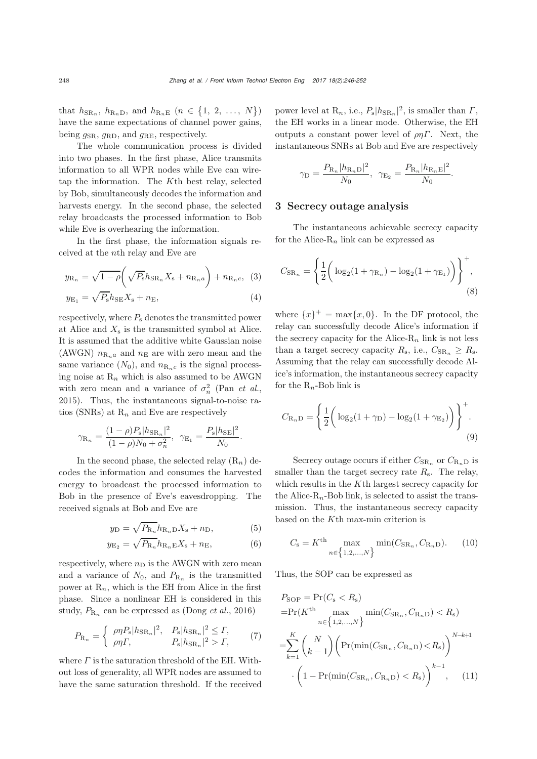that  $h_{\text{SR}_n}$ ,  $h_{\text{R}_n,\text{D}}$ , and  $h_{\text{R}_n,\text{E}}$   $(n \in \{1, 2, ..., N\})$ have the same expectations of channel power gains, being  $q_{\rm SR}$ ,  $q_{\rm RD}$ , and  $q_{\rm RE}$ , respectively.

The whole communication process is divided into two phases. In the first phase, Alice transmits information to all WPR nodes while Eve can wiretap the information. The Kth best relay, selected by Bob, simultaneously decodes the information and harvests energy. In the second phase, the selected relay broadcasts the processed information to Bob while Eve is overhearing the information.

In the first phase, the information signals received at the nth relay and Eve are

$$
y_{\mathcal{R}_n} = \sqrt{1 - \rho} \left( \sqrt{P_{\mathbf{s}}} h_{\mathcal{S} \mathcal{R}_n} X_{\mathbf{s}} + n_{\mathcal{R}_n a} \right) + n_{\mathcal{R}_n c}, \tag{3}
$$

$$
y_{\rm E_1} = \sqrt{P_{\rm s}} h_{\rm SE} X_{\rm s} + n_{\rm E},\tag{4}
$$

respectively, where  $P_s$  denotes the transmitted power at Alice and  $X_s$  is the transmitted symbol at Alice. It is assumed that the additive white Gaussian noise (AWGN)  $n_{\text{R}_{n}a}$  and  $n_{\text{E}}$  are with zero mean and the same variance  $(N_0)$ , and  $n_{\text{R}_n c}$  is the signal processing noise at  $R_n$  which is also assumed to be AWGN with zero mean and a variance of  $\sigma_n^2$  (Pan *et al.*, 2015) Thus the instantaneous signal to poiso re-2015). Thus, the instantaneous signal-to-noise ratios (SNRs) at  $R_n$  and Eve are respectively

$$
\gamma_{\mathcal{R}_n} = \frac{(1 - \rho)P_{\mathcal{S}} |h_{\mathcal{S}\mathcal{R}_n}|^2}{(1 - \rho)N_0 + \sigma_n^2}, \ \ \gamma_{\mathcal{E}_1} = \frac{P_{\mathcal{S}} |h_{\mathcal{S}\mathcal{E}}|^2}{N_0}.
$$

In the second phase, the selected relay  $(R_n)$  decodes the information and consumes the harvested energy to broadcast the processed information to Bob in the presence of Eve's eavesdropping. The received signals at Bob and Eve are

$$
y_{\rm D} = \sqrt{P_{\rm R_n}} h_{\rm R_n D} X_{\rm s} + n_{\rm D},\tag{5}
$$

$$
y_{\mathcal{E}_2} = \sqrt{P_{\mathcal{R}_n}} h_{\mathcal{R}_n \mathcal{E}} X_{\mathcal{S}} + n_{\mathcal{E}},\tag{6}
$$

respectively, where  $n_D$  is the AWGN with zero mean and a variance of  $N_0$ , and  $P_{R_n}$  is the transmitted power at  $R_n$ , which is the EH from Alice in the first phase. Since a nonlinear EH is considered in this study,  $P_{\rm R_n}$  can be expressed as (Dong *et al.*, 2016)

$$
P_{\mathcal{R}_n} = \begin{cases} \n\frac{\rho \eta P_{\mathcal{S}} |h_{\mathcal{S} \mathcal{R}_n}|^2}{\rho \eta \Gamma,} & P_{\mathcal{S}} |h_{\mathcal{S} \mathcal{R}_n}|^2 > \Gamma, \\ \n\frac{\rho \eta P_{\mathcal{S}} |h_{\mathcal{S} \mathcal{R}_n}|^2}{\rho \Gamma,} & P_{\mathcal{S}} |h_{\mathcal{S} \mathcal{R}_n}|^2 > \Gamma, \n\end{cases} \tag{7}
$$

where  $\Gamma$  is the saturation threshold of the EH. Without loss of generality, all WPR nodes are assumed to have the same saturation threshold. If the received

power level at  $\mathbb{R}_n$ , i.e.,  $P_s |h_{\text{SR}_n}|^2$ , is smaller than  $\Gamma$ , the EH works in a linear mode. Otherwise, the EH the EH works in a linear mode. Otherwise, the EH outputs a constant power level of  $\rho \eta \Gamma$ . Next, the instantaneous SNRs at Bob and Eve are respectively

$$
\gamma_{\rm D} = \frac{P_{\rm R_n} |h_{\rm R_n D}|^2}{N_0}, \ \ \gamma_{\rm E_2} = \frac{P_{\rm R_n} |h_{\rm R_n E}|^2}{N_0}.
$$

#### 3 Secrecy outage analysis

The instantaneous achievable secrecy capacity for the Alice- $R_n$  link can be expressed as

$$
C_{\text{SR}_n} = \left\{ \frac{1}{2} \left( \log_2(1 + \gamma_{\text{R}_n}) - \log_2(1 + \gamma_{\text{E}_1}) \right) \right\}^+, \tag{8}
$$

where  $\{x\}^+ = \max\{x, 0\}$ . In the DF protocol, the relay can successfully decode Alice's information if the secrecy capacity for the Alice- $R_n$  link is not less than a target secrecy capacity  $R_s$ , i.e.,  $C_{\text{SR}_n} \geq R_s$ . Assuming that the relay can successfully decode Alice's information, the instantaneous secrecy capacity for the  $R_n$ -Bob link is

$$
C_{\mathcal{R}_n \mathcal{D}} = \left\{ \frac{1}{2} \left( \log_2(1 + \gamma_{\mathcal{D}}) - \log_2(1 + \gamma_{\mathcal{E}_2}) \right) \right\}^+.
$$
\n(9)

Secrecy outage occurs if either  $C_{\text{SR}_n}$  or  $C_{\text{R}_nD}$  is smaller than the target secrecy rate  $R_s$ . The relay, which results in the Kth largest secrecy capacity for the Alice- $R_n$ -Bob link, is selected to assist the transmission. Thus, the instantaneous secrecy capacity based on the Kth max-min criterion is

$$
C_{\rm s} = K^{\rm th} \max_{n \in \{1, 2, ..., N\}} \min(C_{\rm SR_n}, C_{\rm R_n D}).
$$
 (10)

Thus, the SOP can be expressed as

$$
P_{\text{SOP}} = \Pr(C_{\text{s}} < R_{\text{s}})
$$
\n
$$
= \Pr(K^{\text{th}} \max_{n \in \{1, 2, \dots, N\}} \min(C_{\text{SR}_n}, C_{\text{R}_n \text{D}}) < R_{\text{s}})
$$
\n
$$
= \sum_{k=1}^{K} \binom{N}{k-1} \left( \Pr(\min(C_{\text{SR}_n}, C_{\text{R}_n \text{D}}) < R_{\text{s}}) \right)^{N-k+1}
$$
\n
$$
\cdot \left( 1 - \Pr(\min(C_{\text{SR}_n}, C_{\text{R}_n \text{D}}) < R_{\text{s}}) \right)^{k-1}, \quad (11)
$$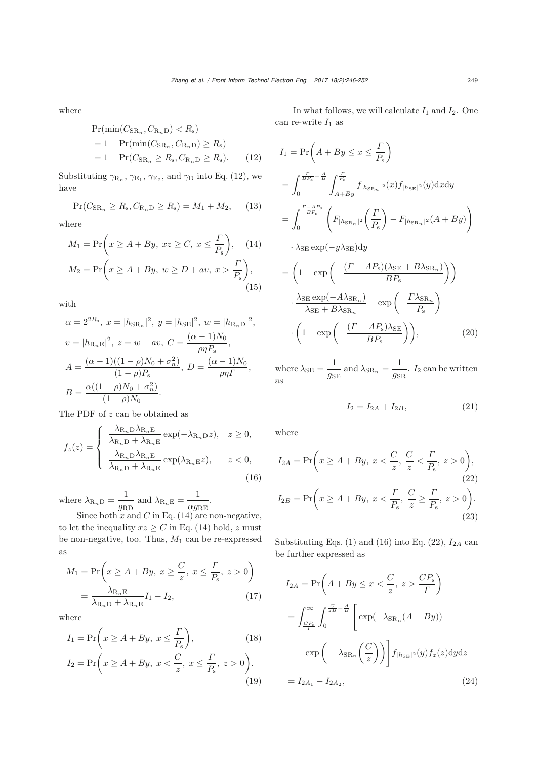where

$$
Pr(min(C_{SR_n}, C_{R_n})) < R_s)
$$
\n
$$
= 1 - Pr(min(C_{SR_n}, C_{R_n}) \ge R_s)
$$
\n
$$
= 1 - Pr(C_{SR_n} \ge R_s, C_{R_n} \ge R_s). \tag{12}
$$

Substituting  $\gamma_{\text{R}_n}$ ,  $\gamma_{\text{E}_1}$ ,  $\gamma_{\text{E}_2}$ , and  $\gamma_{\text{D}}$  into Eq. (12), we have

$$
\Pr(C_{\text{SR}_n} \ge R_{\text{s}}, C_{\text{R}_n \text{D}} \ge R_{\text{s}}) = M_1 + M_2, \quad (13)
$$

where

$$
M_1 = \Pr\left(x \ge A + By, xz \ge C, x \le \frac{\Gamma}{P_s}\right), \quad (14)
$$

$$
M_2 = \Pr\left(x \ge A + By, w \ge D + av, x > \frac{\Gamma}{P_s}\right), \quad (15)
$$

with

$$
\alpha = 2^{2R_{\rm s}}, x = |h_{\rm SRn}|^2, y = |h_{\rm SE}|^2, w = |h_{\rm Rn}|\^2,
$$
  

$$
v = |h_{\rm Rn}|\^2, z = w - av, C = \frac{(\alpha - 1)N_0}{\rho \eta P_{\rm s}},
$$
  

$$
A = \frac{(\alpha - 1)((1 - \rho)N_0 + \sigma_n^2)}{(1 - \rho)P_{\rm s}}, D = \frac{(\alpha - 1)N_0}{\rho \eta P_{\rm s}},
$$
  

$$
B = \frac{\alpha((1 - \rho)N_0 + \sigma_n^2)}{(1 - \rho)N_0}.
$$

The PDF of z can be obtained as

$$
f_z(z) = \begin{cases} \frac{\lambda_{\text{R}_n \text{D}} \lambda_{\text{R}_n \text{E}}}{\lambda_{\text{R}_n \text{D}} + \lambda_{\text{R}_n \text{E}}} \exp(-\lambda_{\text{R}_n \text{D}} z), & z \ge 0, \\ \frac{\lambda_{\text{R}_n \text{D}} \lambda_{\text{R}_n \text{E}}}{\lambda_{\text{R}_n \text{D}} + \lambda_{\text{R}_n \text{E}}} \exp(\lambda_{\text{R}_n \text{E}} z), & z < 0, \end{cases}
$$
(16)

where  $\lambda_{\text{R}_n\text{D}} = \frac{1}{g_{\text{RD}}}$  and  $\lambda_{\text{R}_n\text{E}} = \frac{1}{\alpha g_{\text{RE}}}.$ 

 $q_{\text{RD}}$ <br>Since both x and C in Eq. (14) are non-negative,<br>t the inequality  $x \ge C$  in Eq. (14) hold x must to let the inequality  $xz \geq C$  in Eq. (14) hold, z must be non-negative, too. Thus,  $M_1$  can be re-expressed as

$$
M_1 = \Pr\left(x \ge A + By, x \ge \frac{C}{z}, x \le \frac{\Gamma}{P_s}, z > 0\right)
$$

$$
= \frac{\lambda_{R_n E}}{\lambda_{R_n D} + \lambda_{R_n E}} I_1 - I_2,
$$
(17)

where

$$
I_1 = \Pr\left(x \ge A + By, \ x \le \frac{\Gamma}{P_s}\right),\tag{18}
$$
\n
$$
I_2 = \Pr\left(x \ge A + By, \ x < \frac{C}{z}, \ x \le \frac{\Gamma}{P_s}, \ z > 0\right). \tag{19}
$$

In what follows, we will calculate  $I_1$  and  $I_2$ . One can re-write  $\mathcal{I}_1$  as

$$
I_{1} = \Pr\left(A + By \leq x \leq \frac{\Gamma}{P_{s}}\right)
$$
  
\n
$$
= \int_{0}^{\frac{\Gamma}{BF_{s}} - \frac{A}{B}} \int_{A + By}^{\frac{\Gamma}{F_{s}}} f_{|h_{SRn}|^{2}}(x) f_{|h_{SE}|^{2}}(y) dxdy
$$
  
\n
$$
= \int_{0}^{\frac{\Gamma - AF_{s}}{BF_{s}}} \left(F_{|h_{SRn}|^{2}}\left(\frac{\Gamma}{P_{s}}\right) - F_{|h_{SRn}|^{2}}(A + By)\right)
$$
  
\n
$$
\cdot \lambda_{SE} \exp(-y\lambda_{SE}) dy
$$
  
\n
$$
= \left(1 - \exp\left(-\frac{(\Gamma - AP_{s})(\lambda_{SE} + B\lambda_{SRn})}{BP_{s}}\right)\right)
$$
  
\n
$$
\cdot \frac{\lambda_{SE} \exp(-A\lambda_{SRn})}{\lambda_{SE} + B\lambda_{SRn}} - \exp\left(-\frac{\Gamma \lambda_{SRn}}{P_{s}}\right)
$$
  
\n
$$
\cdot \left(1 - \exp\left(-\frac{(\Gamma - AP_{s})\lambda_{SE}}{BP_{s}}\right)\right), \tag{20}
$$

where  $\lambda_{\text{SE}} = \frac{1}{g_{\text{SE}}}$  and  $\lambda_{\text{SR}_n} = \frac{1}{g_{\text{SR}}}$ .  $I_2$  can be written as

$$
I_2 = I_{2A} + I_{2B}, \t\t(21)
$$

where

$$
I_{2A} = \Pr\left(x \ge A + By, \ x < \frac{C}{z}, \ \frac{C}{z} < \frac{\Gamma}{P_s}, \ z > 0\right),\tag{22}
$$
\n
$$
I_{2B} = \Pr\left(x \ge A + By, \ x < \frac{\Gamma}{P_s}, \ \frac{C}{z} \ge \frac{\Gamma}{P_s}, \ z > 0\right). \tag{23}
$$

Substituting Eqs.  $(1)$  and  $(16)$  into Eq.  $(22)$ ,  $I_{2A}$  can be further expressed as

$$
I_{2A} = \Pr\left(A + By \le x < \frac{C}{z}, z > \frac{CP_s}{\Gamma}\right)
$$
\n
$$
= \int_{\frac{CP_s}{\Gamma}}^{\infty} \int_{0}^{\frac{C}{zB} - \frac{A}{B}} \left[ \exp(-\lambda_{\text{SR}_n}(A + By)) - \exp\left(-\lambda_{\text{SR}_n}\left(\frac{C}{z}\right)\right) \right] f_{|h_{\text{SE}}|^2}(y) f_z(z) dy dz
$$
\n
$$
= I_{2A_1} - I_{2A_2}, \tag{24}
$$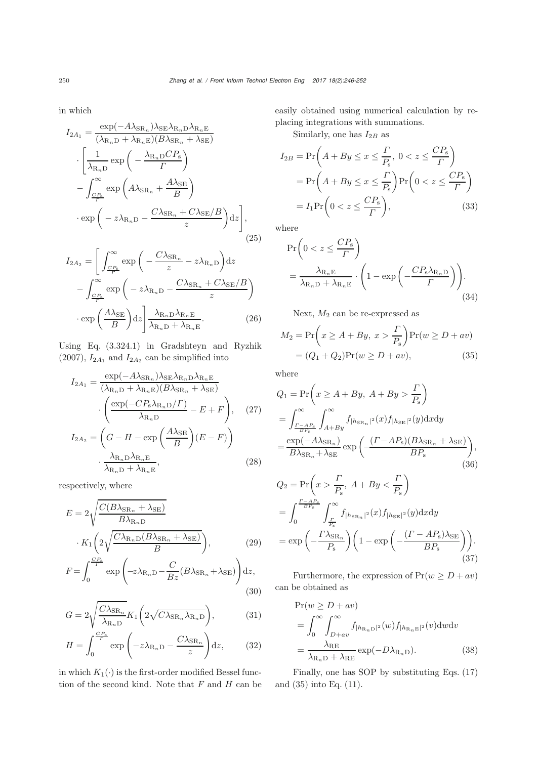in which

$$
I_{2A_1} = \frac{\exp(-A\lambda_{\text{SR}_n})\lambda_{\text{SE}}\lambda_{\text{R}_n\text{D}}\lambda_{\text{R}_n\text{E}}}{(\lambda_{\text{R}_n\text{D}} + \lambda_{\text{R}_n\text{E}})(B\lambda_{\text{SR}_n} + \lambda_{\text{SE}})}
$$

$$
\cdot \left[\frac{1}{\lambda_{\text{R}_n\text{D}}}\exp\left(-\frac{\lambda_{\text{R}_n\text{D}}CP_s}{\Gamma}\right) - \int_{\frac{CP_s}{\Gamma}}^{\infty} \exp\left(A\lambda_{\text{SR}_n} + \frac{A\lambda_{\text{SE}}}{B}\right)
$$

$$
\cdot \exp\left(-z\lambda_{\text{R}_n\text{D}} - \frac{C\lambda_{\text{SR}_n} + C\lambda_{\text{SE}}/B}{z}\right)dz\right],
$$
(25)

$$
I_{2A_2} = \left[ \int_{\frac{CP_8}{\Gamma}}^{\infty} \exp\left( -\frac{C\lambda_{\text{SR}_n}}{z} - z\lambda_{\text{R}_n\text{D}} \right) \text{d}z - \int_{\frac{CP_8}{\Gamma}}^{\infty} \exp\left( -z\lambda_{\text{R}_n\text{D}} - \frac{C\lambda_{\text{SR}_n} + C\lambda_{\text{SE}}/B}{z} \right) \cdot \exp\left( \frac{A\lambda_{\text{SE}}}{B} \right) \text{d}z \right] \frac{\lambda_{\text{R}_n\text{D}}\lambda_{\text{R}_n\text{E}}}{\lambda_{\text{R}_n\text{D}} + \lambda_{\text{R}_n\text{E}}}.
$$
 (26)

Using Eq. (3.324.1) in Gradshteyn and Ryzhik (2007),  $I_{2A_1}$  and  $I_{2A_2}$  can be simplified into

$$
I_{2A_1} = \frac{\exp(-A\lambda_{\text{SR}_n})\lambda_{\text{SE}}\lambda_{\text{R}_n\text{D}}\lambda_{\text{R}_n\text{E}}}{(\lambda_{\text{R}_n\text{D}} + \lambda_{\text{R}_n\text{E}})(B\lambda_{\text{SR}_n} + \lambda_{\text{SE}})}
$$

$$
\cdot \left(\frac{\exp(-CP_s\lambda_{\text{R}_n\text{D}}/I)}{\lambda_{\text{R}_n\text{D}}}-E+F\right), \quad (27)
$$

$$
I_{2A_2} = \left(G - H - \exp\left(\frac{A\lambda_{\text{SE}}}{B}\right)(E - F)\right)
$$

$$
\cdot \frac{\lambda_{\text{R}_n\text{D}}\lambda_{\text{R}_n\text{E}}}{\lambda_{\text{R}_n\text{D}} + \lambda_{\text{R}_n\text{E}}}, \quad (28)
$$

respectively, where

$$
E = 2\sqrt{\frac{C(B\lambda_{\text{SR}_n} + \lambda_{\text{SE}})}{B\lambda_{\text{R}_n\text{D}}}}
$$

$$
K_1\left(2\sqrt{\frac{C\lambda_{\text{R}_n\text{D}}(B\lambda_{\text{SR}_n} + \lambda_{\text{SE}})}{B}}\right),\tag{29}
$$

$$
E = \int_{0}^{\frac{CPs}{T}} \text{sum}\left(\frac{1}{\lambda_{\text{R}_n\text{D}}(B\lambda_{\text{S}} + \lambda_{\text{SE}})}\right) d\mu
$$

$$
F = \int_0^{\frac{CF_8}{F}} \exp\left(-z\lambda_{\mathcal{R}_n\mathcal{D}} - \frac{C}{Bz}(B\lambda_{\mathcal{S}\mathcal{R}_n} + \lambda_{\mathcal{S}\mathcal{E}})\right) dz,
$$
\n(30)

$$
G = 2\sqrt{\frac{C\lambda_{\text{SR}_n}}{\lambda_{\text{R}_n\text{D}}}K_1\left(2\sqrt{C\lambda_{\text{SR}_n}\lambda_{\text{R}_n\text{D}}}\right)},\tag{31}
$$

$$
H = \int_0^{\frac{CP_8}{T}} \exp\left(-z\lambda_{\mathcal{R}_n\mathcal{D}} - \frac{C\lambda_{\mathcal{S}\mathcal{R}_n}}{z}\right) dz, \qquad (32)
$$

in which  $K_1(\cdot)$  is the first-order modified Bessel function of the second kind. Note that  $F$  and  $H$  can be easily obtained using numerical calculation by replacing integrations with summations.

Similarly, one has  $I_{2B}$  as

$$
I_{2B} = \Pr\left(A + By \le x \le \frac{\Gamma}{P_s}, 0 < z \le \frac{CP_s}{\Gamma}\right)
$$
\n
$$
= \Pr\left(A + By \le x \le \frac{\Gamma}{P_s}\right) \Pr\left(0 < z \le \frac{CP_s}{\Gamma}\right)
$$
\n
$$
= I_1 \Pr\left(0 < z \le \frac{CP_s}{\Gamma}\right),\tag{33}
$$

where

$$
\Pr\left(0 < z \leq \frac{CP_s}{\Gamma}\right)
$$
\n
$$
= \frac{\lambda_{\mathcal{R}_n \mathcal{E}}}{\lambda_{\mathcal{R}_n \mathcal{D}} + \lambda_{\mathcal{R}_n \mathcal{E}}} \cdot \left(1 - \exp\left(-\frac{CP_s \lambda_{\mathcal{R}_n \mathcal{D}}}{\Gamma}\right)\right). \tag{34}
$$

Next,  $\mathcal{M}_2$  can be re-expressed as

$$
M_2 = \Pr\left(x \ge A + By, x > \frac{\Gamma}{P_s}\right) \Pr(w \ge D + av)
$$

$$
= (Q_1 + Q_2) \Pr(w \ge D + av), \tag{35}
$$

where

$$
Q_1 = \Pr\left(x \ge A + By, A + By > \frac{\Gamma}{P_s}\right)
$$
  
= 
$$
\int_{\frac{\Gamma - AP_s}{BP_s}}^{\infty} \int_{A+By}^{\infty} f_{|h_{\text{SR}_n}|^2}(x) f_{|h_{\text{SE}}|^2}(y) dxdy
$$
  
= 
$$
\frac{\exp(-A\lambda_{\text{SR}_n})}{B\lambda_{\text{SR}_n} + \lambda_{\text{SE}}}\exp\left(\frac{(\Gamma - AP_s)(B\lambda_{\text{SR}_n} + \lambda_{\text{SE}})}{BP_s}\right),
$$
  
(36)

$$
Q_2 = \Pr\left(x > \frac{\Gamma}{P_s}, A + By < \frac{\Gamma}{P_s}\right)
$$
  
= 
$$
\int_0^{\frac{\Gamma - AF_s}{BF_s}} \int_{\frac{\Gamma}{P_s}}^{\infty} f_{|h_{\text{SR}_n}|^2}(x) f_{|h_{\text{SE}}|^2}(y) dxdy
$$
  
= 
$$
\exp\left(-\frac{\Gamma \lambda_{\text{SR}_n}}{P_s}\right) \left(1 - \exp\left(-\frac{(\Gamma - AP_s)\lambda_{\text{SE}}}{BP_s}\right)\right).
$$
(37)

Furthermore, the expression of  $Pr(w \ge D + av)$ can be obtained as

$$
\Pr(w \ge D + av)
$$
  
=  $\int_0^\infty \int_{D+av}^\infty f_{|h_{\mathcal{R}_n D}|^2}(w) f_{|h_{\mathcal{R}_n E}|^2}(v) dw dv$   
=  $\frac{\lambda_{\mathcal{R}_n}}{\lambda_{\mathcal{R}_n D} + \lambda_{\mathcal{R}_n E}} \exp(-D\lambda_{\mathcal{R}_n D}).$  (38)

Finally, one has SOP by substituting Eqs. (17) and (35) into Eq. (11).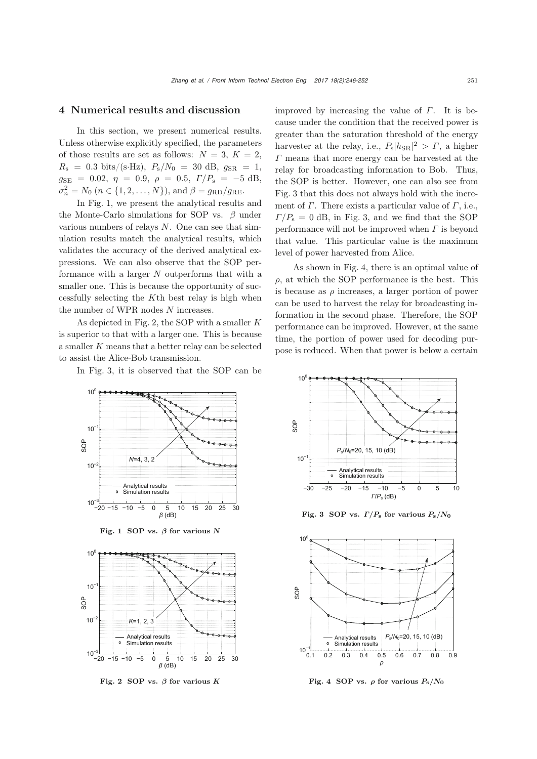# 4 Numerical results and discussion

In this section, we present numerical results. Unless otherwise explicitly specified, the parameters of those results are set as follows:  $N = 3$ ,  $K = 2$ ,  $R_{\rm s} = 0.3 \text{ bits/(s-Hz)}, P_{\rm s}/N_0 = 30 \text{ dB}, g_{\rm SR} = 1,$  $g_{\text{SE}} = 0.02, \eta = 0.9, \rho = 0.5, \Gamma/P_{\text{s}} = -5 \text{ dB},$  $\sigma_n^2 = N_0 \ (n \in \{1, 2, \ldots, N\})$ , and  $\beta = g_{\text{RD}}/g_{\text{RE}}$ .

In Fig. [1,](#page-5-0) we present the analytical results and the Monte-Carlo simulations for SOP vs.  $\beta$  under various numbers of relays  $N$ . One can see that simulation results match the analytical results, which validates the accuracy of the derived analytical expressions. We can also observe that the SOP performance with a larger  $N$  outperforms that with a smaller one. This is because the opportunity of successfully selecting the Kth best relay is high when the number of WPR nodes  $N$  increases.

As depicted in Fig. [2,](#page-5-1) the SOP with a smaller K is superior to that with a larger one. This is because a smaller K means that a better relay can be selected to assist the Alice-Bob transmission.

In Fig. [3,](#page-5-2) it is observed that the SOP can be



<span id="page-5-0"></span>Fig. 1 SOP vs. *<sup>β</sup>* for various *<sup>N</sup>*



<span id="page-5-1"></span>Fig. 2 SOP vs. *<sup>β</sup>* for various *<sup>K</sup>*

improved by increasing the value of  $\Gamma$ . It is because under the condition that the received power is greater than the saturation threshold of the energy harvester at the relay, i.e.,  $P_s|h_{SR}|^2 > \Gamma$ , a higher<br> $\Gamma$  means that more energy can be harvested at the  $\Gamma$  means that more energy can be harvested at the relay for broadcasting information to Bob. Thus, the SOP is better. However, one can also see from Fig. [3](#page-5-2) that this does not always hold with the increment of  $\Gamma$ . There exists a particular value of  $\Gamma$ , i.e.,  $\Gamma/P_s = 0$  dB, in Fig. [3,](#page-5-2) and we find that the SOP performance will not be improved when  $\Gamma$  is beyond that value. This particular value is the maximum level of power harvested from Alice.

As shown in Fig. [4,](#page-5-3) there is an optimal value of  $\rho$ , at which the SOP performance is the best. This is because as  $\rho$  increases, a larger portion of power can be used to harvest the relay for broadcasting information in the second phase. Therefore, the SOP performance can be improved. However, at the same time, the portion of power used for decoding purpose is reduced. When that power is below a certain



<span id="page-5-2"></span>Fig. 3 SOP vs.  $\Gamma/P_s$  for various  $P_s/N_0$ 



<span id="page-5-3"></span>Fig. 4 SOP vs.  $\rho$  for various  $P_s/N_0$